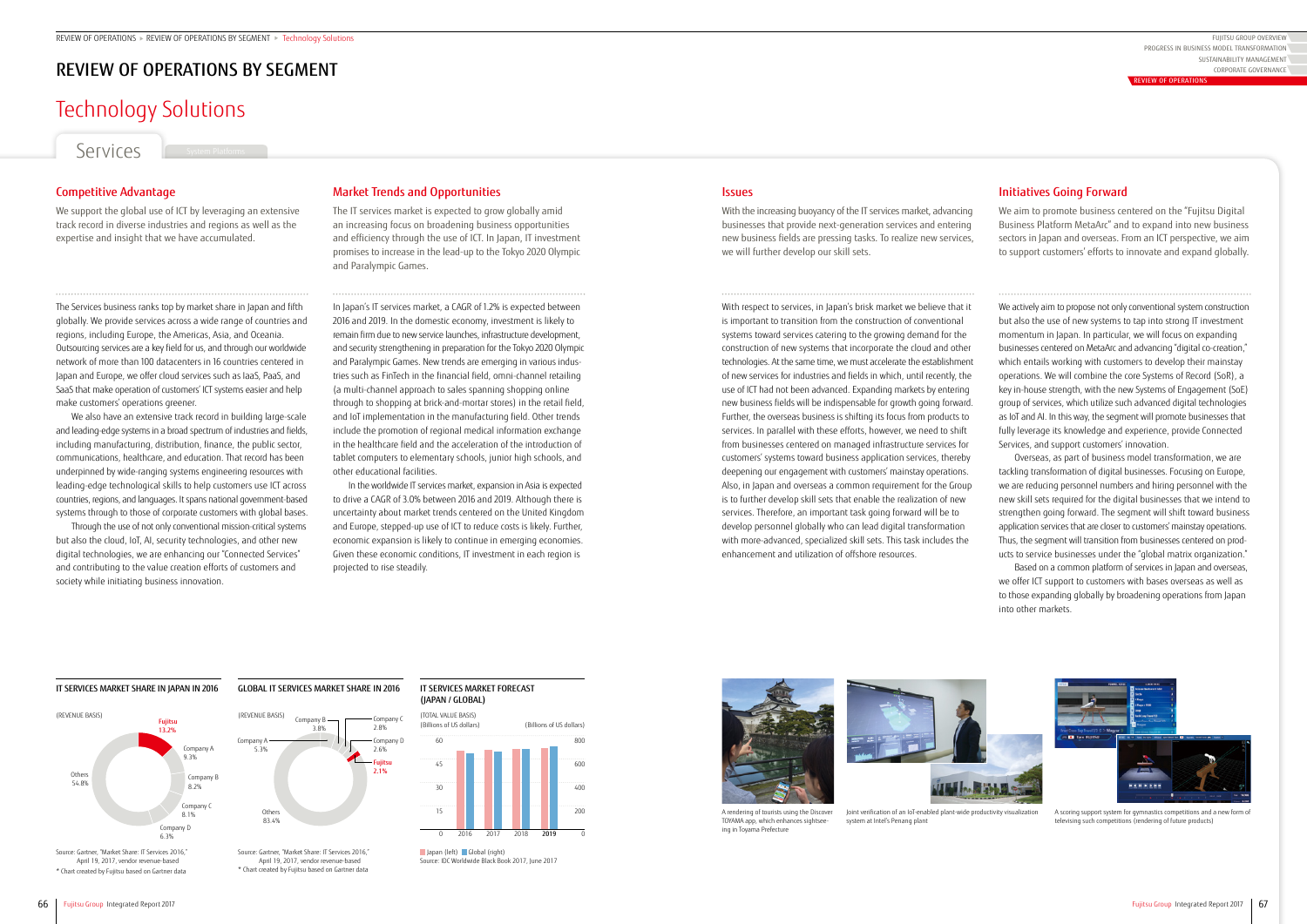# Technology Solutions

Services

## Market Trends and Opportunities

The IT services market is expected to grow globally amid an increasing focus on broadening business opportunities and efficiency through the use of ICT. In Japan, IT investment promises to increase in the lead-up to the Tokyo 2020 Olympic and Paralympic Games.

In Japan's IT services market, a CAGR of 1.2% is expected between 2016 and 2019. In the domestic economy, investment is likely to remain firm due to new service launches, infrastructure development, and security strengthening in preparation for the Tokyo 2020 Olympic and Paralympic Games. New trends are emerging in various industries such as FinTech in the financial field, omni-channel retailing (a multi-channel approach to sales spanning shopping online through to shopping at brick-and-mortar stores) in the retail field, and IoT implementation in the manufacturing field. Other trends include the promotion of regional medical information exchange in the healthcare field and the acceleration of the introduction of tablet computers to elementary schools, junior high schools, and other educational facilities.

In the worldwide IT services market, expansion in Asia is expected to drive a CAGR of 3.0% between 2016 and 2019. Although there is uncertainty about market trends centered on the United Kingdom and Europe, stepped-up use of ICT to reduce costs is likely. Further, economic expansion is likely to continue in emerging economies. Given these economic conditions, IT investment in each region is projected to rise steadily.

## **Issues**

## Initiatives Going Forward

We aim to promote business centered on the "Fujitsu Digital Business Platform MetaArc" and to expand into new business sectors in Japan and overseas. From an ICT perspective, we aim to support customers' efforts to innovate and expand globally.

We actively aim to propose not only conventional system construction but also the use of new systems to tap into strong IT investment momentum in Japan. In particular, we will focus on expanding businesses centered on MetaArc and advancing "digital co-creation," which entails working with customers to develop their mainstay operations. We will combine the core Systems of Record (SoR), a key in-house strength, with the new Systems of Engagement (SoE) group of services, which utilize such advanced digital technologies as IoT and AI. In this way, the segment will promote businesses that fully leverage its knowledge and experience, provide Connected Services, and support customers' innovation.

Overseas, as part of business model transformation, we are tackling transformation of digital businesses. Focusing on Europe, we are reducing personnel numbers and hiring personnel with the new skill sets required for the digital businesses that we intend to strengthen going forward. The segment will shift toward business application services that are closer to customers' mainstay operations. Thus, the segment will transition from businesses centered on products to service businesses under the "global matrix organization."

Based on a common platform of services in Japan and overseas, we offer ICT support to customers with bases overseas as well as to those expanding globally by broadening operations from Japan into other markets.



A scoring support system for gymnastics competitions and a new form of televising such competitions (rendering of future products)

With the increasing buoyancy of the IT services market, advancing businesses that provide next-generation services and entering new business fields are pressing tasks. To realize new services, we will further develop our skill sets.

FUJITSU GROUP OVERVIEW SUSTAINABILITY MANAGEMENT CORPORATE GOVERNANCE PROGRESS IN BUSINESS MODEL TRANSFORMATION

With respect to services, in Japan's brisk market we believe that it is important to transition from the construction of conventional systems toward services catering to the growing demand for the construction of new systems that incorporate the cloud and other technologies. At the same time, we must accelerate the establishment of new services for industries and fields in which, until recently, the use of ICT had not been advanced. Expanding markets by entering new business fields will be indispensable for growth going forward. Further, the overseas business is shifting its focus from products to services. In parallel with these efforts, however, we need to shift from businesses centered on managed infrastructure services for customers' systems toward business application services, thereby deepening our engagement with customers' mainstay operations. Also, in Japan and overseas a common requirement for the Group is to further develop skill sets that enable the realization of new services. Therefore, an important task going forward will be to develop personnel globally who can lead digital transformation with more-advanced, specialized skill sets. This task includes the enhancement and utilization of offshore resources.

## Competitive Advantage

We support the global use of ICT by leveraging an extensive track record in diverse industries and regions as well as the expertise and insight that we have accumulated.

The Services business ranks top by market share in Japan and fifth globally. We provide services across a wide range of countries and regions, including Europe, the Americas, Asia, and Oceania. Outsourcing services are a key field for us, and through our worldwide network of more than 100 datacenters in 16 countries centered in Japan and Europe, we offer cloud services such as IaaS, PaaS, and SaaS that make operation of customers' ICT systems easier and help make customers' operations greener.

We also have an extensive track record in building large-scale and leading-edge systems in a broad spectrum of industries and fields, including manufacturing, distribution, finance, the public sector, communications, healthcare, and education. That record has been underpinned by wide-ranging systems engineering resources with leading-edge technological skills to help customers use ICT across countries, regions, and languages. It spans national government-based systems through to those of corporate customers with global bases.

Through the use of not only conventional mission-critical systems but also the cloud, IoT, AI, security technologies, and other new digital technologies, we are enhancing our "Connected Services" and contributing to the value creation efforts of customers and society while initiating business innovation.

> A rendering of tourists using the Discover TOYAMA app, which enhances sightseeing in Toyama Prefecture

Joint verification of an IoT-enabled plant-wide productivity visualization system at Intel's Penang plant

## REVIEW OF OPERATIONS BY SEGMENT

### IT SERVICES MARKET FORECAST (JAPAN / GLOBAL)

#### IT SERVICES MARKET SHARE IN JAPAN IN 2016

## GLOBAL IT SERVICES MARKET SHARE IN 2016



April 19, 2017, vendor revenue-based \* Chart created by Fujitsu based on Gartner data

April 19, 2017, vendor revenue-based \* Chart created by Fujitsu based on Gartner data





Source: IDC Worldwide Black Book 2017, June 2017





REVIEW OF OPERATIONS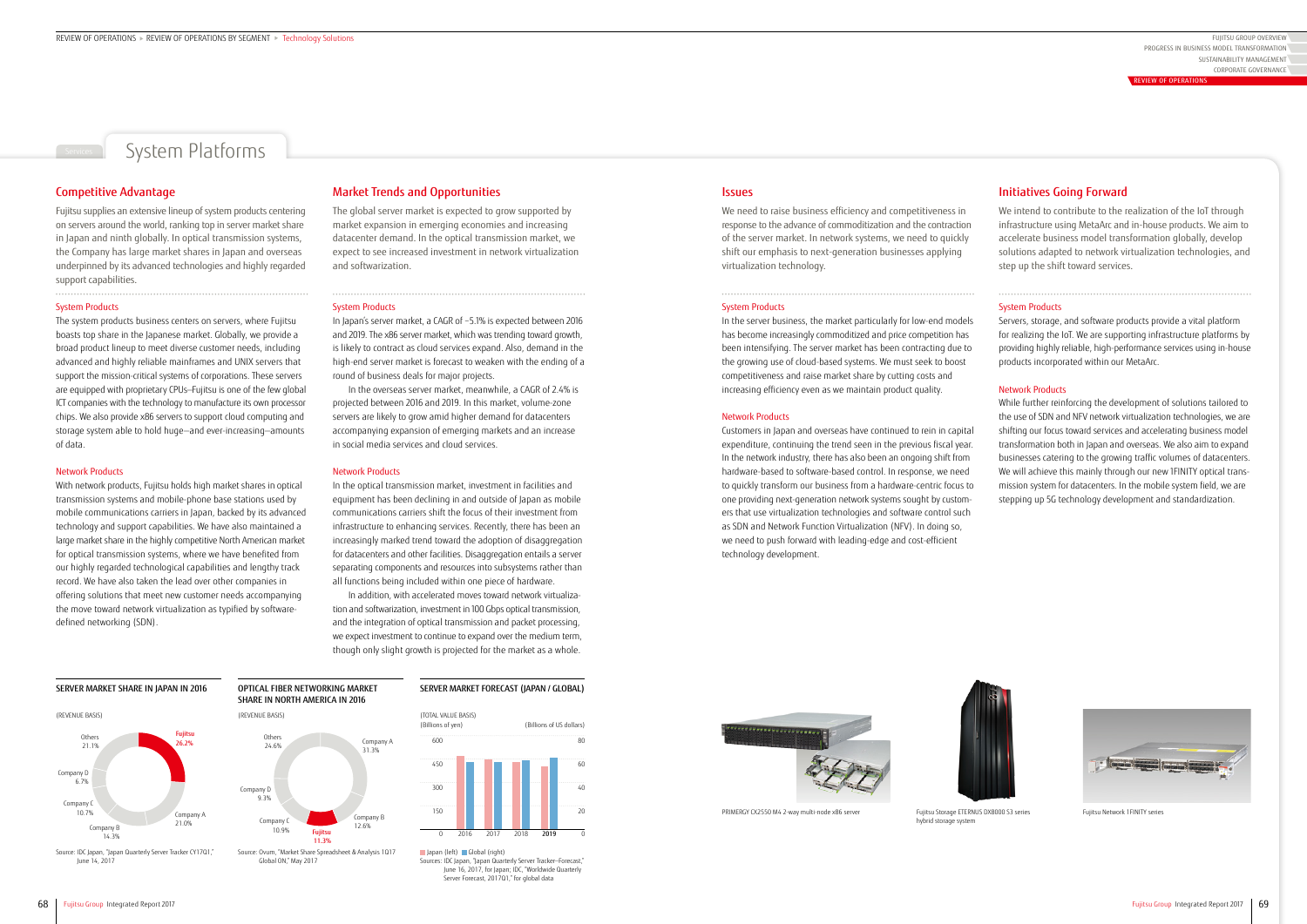## System Platforms

### Market Trends and Opportunities

The global server market is expected to grow supported by market expansion in emerging economies and increasing datacenter demand. In the optical transmission market, we expect to see increased investment in network virtualization and softwarization.

#### System Products

In Japan's server market, a CAGR of −5.1% is expected between 2016 and 2019. The x86 server market, which was trending toward growth, is likely to contract as cloud services expand. Also, demand in the high-end server market is forecast to weaken with the ending of a round of business deals for major projects.

In the overseas server market, meanwhile, a CAGR of 2.4% is projected between 2016 and 2019. In this market, volume-zone servers are likely to grow amid higher demand for datacenters accompanying expansion of emerging markets and an increase in social media services and cloud services.

#### Network Products

In the optical transmission market, investment in facilities and equipment has been declining in and outside of Japan as mobile communications carriers shift the focus of their investment from infrastructure to enhancing services. Recently, there has been an increasingly marked trend toward the adoption of disaggregation for datacenters and other facilities. Disaggregation entails a server separating components and resources into subsystems rather than all functions being included within one piece of hardware.

In addition, with accelerated moves toward network virtualization and softwarization, investment in 100 Gbps optical transmission, and the integration of optical transmission and packet processing, we expect investment to continue to expand over the medium term, though only slight growth is projected for the market as a whole.

## Initiatives Going Forward

We intend to contribute to the realization of the IoT through infrastructure using MetaArc and in-house products. We aim to accelerate business model transformation globally, develop solutions adapted to network virtualization technologies, and step up the shift toward services.

#### System Products

Servers, storage, and software products provide a vital platform for realizing the IoT. We are supporting infrastructure platforms by providing highly reliable, high-performance services using in-house products incorporated within our MetaArc.

#### Network Products

While further reinforcing the development of solutions tailored to the use of SDN and NFV network virtualization technologies, we are shifting our focus toward services and accelerating business model transformation both in Japan and overseas. We also aim to expand businesses catering to the growing traffic volumes of datacenters. We will achieve this mainly through our new 1FINITY optical transmission system for datacenters. In the mobile system field, we are stepping up 5G technology development and standardization.





We need to raise business efficiency and competitiveness in response to the advance of commoditization and the contraction of the server market. In network systems, we need to quickly shift our emphasis to next-generation businesses applying virtualization technology.

#### System Products

Irces: IDC Japan, "Japan Quarterly Server Tracker-Forecast," June 16, 2017, for Japan; IDC, "Worldwide Quarterly Server Forecast, 2017Q1," for global data

### **Issues**

In the server business, the market particularly for low-end models has become increasingly commoditized and price competition has been intensifying. The server market has been contracting due to the growing use of cloud-based systems. We must seek to boost competitiveness and raise market share by cutting costs and increasing efficiency even as we maintain product quality.

FUJITSU GROUP OVERVIEW SUSTAINABILITY MANAGEMENT CORPORATE GOVERNANCE PROGRESS IN BUSINESS MODEL TRANSFORMATION **EVIEW OF OPER** 

#### Network Products

Customers in Japan and overseas have continued to rein in capital expenditure, continuing the trend seen in the previous fiscal year. In the network industry, there has also been an ongoing shift from hardware-based to software-based control. In response, we need to quickly transform our business from a hardware-centric focus to one providing next-generation network systems sought by customers that use virtualization technologies and software control such as SDN and Network Function Virtualization (NFV). In doing so, we need to push forward with leading-edge and cost-efficient technology development.

### Competitive Advantage

Fujitsu supplies an extensive lineup of system products centering on servers around the world, ranking top in server market share in Japan and ninth globally. In optical transmission systems, the Company has large market shares in Japan and overseas underpinned by its advanced technologies and highly regarded support capabilities.

#### System Products

The system products business centers on servers, where Fujitsu boasts top share in the Japanese market. Globally, we provide a broad product lineup to meet diverse customer needs, including advanced and highly reliable mainframes and UNIX servers that support the mission-critical systems of corporations. These servers are equipped with proprietary CPUs—Fujitsu is one of the few global ICT companies with the technology to manufacture its own processor chips. We also provide x86 servers to support cloud computing and storage system able to hold huge—and ever-increasing—amounts of data.

#### Network Products

With network products, Fujitsu holds high market shares in optical transmission systems and mobile-phone base stations used by mobile communications carriers in Japan, backed by its advanced technology and support capabilities. We have also maintained a large market share in the highly competitive North American market for optical transmission systems, where we have benefited from our highly regarded technological capabilities and lengthy track record. We have also taken the lead over other companies in offering solutions that meet new customer needs accompanying the move toward network virtualization as typified by softwaredefined networking (SDN).

### SERVER MARKET FORECAST (JAPAN / GLOBAL)





June 14, 2017

Global ON," May 2017







hybrid storage system

Fujitsu Network 1FINITY series